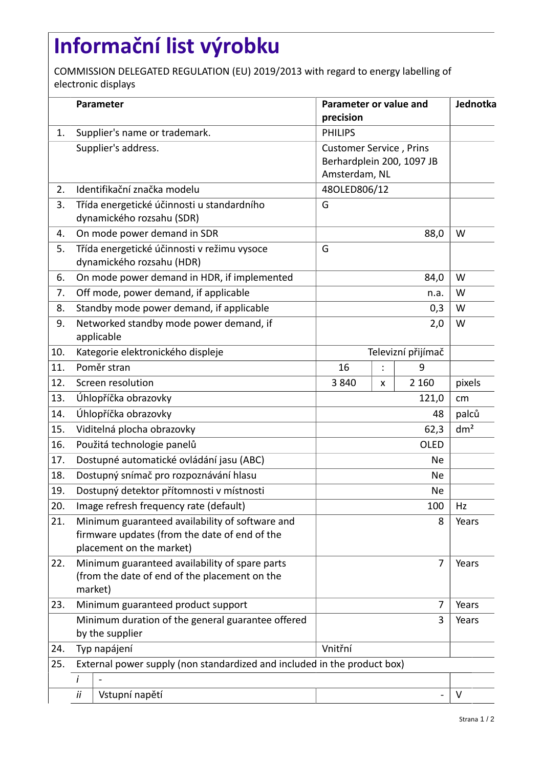## **Informační list výrobku**

COMMISSION DELEGATED REGULATION (EU) 2019/2013 with regard to energy labelling of electronic displays

|     |                                                                                                            | Parameter                                                                                                                    | Parameter or value and<br>precision                                          |       |         | Jednotka        |
|-----|------------------------------------------------------------------------------------------------------------|------------------------------------------------------------------------------------------------------------------------------|------------------------------------------------------------------------------|-------|---------|-----------------|
| 1.  |                                                                                                            | Supplier's name or trademark.                                                                                                | <b>PHILIPS</b>                                                               |       |         |                 |
|     |                                                                                                            | Supplier's address.                                                                                                          | <b>Customer Service, Prins</b><br>Berhardplein 200, 1097 JB<br>Amsterdam, NL |       |         |                 |
| 2.  |                                                                                                            | Identifikační značka modelu                                                                                                  | 48OLED806/12                                                                 |       |         |                 |
| 3.  |                                                                                                            | Třída energetické účinnosti u standardního<br>dynamického rozsahu (SDR)                                                      | G                                                                            |       |         |                 |
| 4.  |                                                                                                            | On mode power demand in SDR                                                                                                  | 88,0                                                                         |       |         | W               |
| 5.  |                                                                                                            | Třída energetické účinnosti v režimu vysoce<br>dynamického rozsahu (HDR)                                                     | G                                                                            |       |         |                 |
| 6.  |                                                                                                            | On mode power demand in HDR, if implemented                                                                                  | 84,0                                                                         |       |         | W               |
| 7.  |                                                                                                            | Off mode, power demand, if applicable                                                                                        | n.a.                                                                         |       |         | W               |
| 8.  |                                                                                                            | Standby mode power demand, if applicable                                                                                     | 0,3                                                                          |       |         | W               |
| 9.  |                                                                                                            | Networked standby mode power demand, if<br>applicable                                                                        | 2,0                                                                          |       |         | W               |
| 10. |                                                                                                            | Kategorie elektronického displeje                                                                                            | Televizní přijímač                                                           |       |         |                 |
| 11. |                                                                                                            | Poměr stran                                                                                                                  | 16                                                                           |       | 9       |                 |
| 12. |                                                                                                            | Screen resolution                                                                                                            | 3840                                                                         | X     | 2 1 6 0 | pixels          |
| 13. |                                                                                                            | Úhlopříčka obrazovky                                                                                                         | 121,0                                                                        |       |         | cm              |
| 14. |                                                                                                            | Úhlopříčka obrazovky                                                                                                         | 48                                                                           |       |         | palců           |
| 15. |                                                                                                            | Viditelná plocha obrazovky                                                                                                   | 62,3                                                                         |       |         | dm <sup>2</sup> |
| 16. |                                                                                                            | Použitá technologie panelů                                                                                                   | <b>OLED</b>                                                                  |       |         |                 |
| 17. |                                                                                                            | Dostupné automatické ovládání jasu (ABC)                                                                                     | <b>Ne</b>                                                                    |       |         |                 |
| 18. |                                                                                                            | Dostupný snímač pro rozpoznávání hlasu                                                                                       | <b>Ne</b>                                                                    |       |         |                 |
| 19. |                                                                                                            | Dostupný detektor přítomnosti v místnosti                                                                                    | <b>Ne</b>                                                                    |       |         |                 |
| 20. |                                                                                                            | Image refresh frequency rate (default)                                                                                       | 100                                                                          |       |         | Hz              |
| 21. |                                                                                                            | Minimum guaranteed availability of software and<br>firmware updates (from the date of end of the<br>placement on the market) | 8                                                                            |       |         | Years           |
| 22. | Minimum guaranteed availability of spare parts<br>(from the date of end of the placement on the<br>market) |                                                                                                                              | $\overline{7}$                                                               | Years |         |                 |
| 23. |                                                                                                            | Minimum guaranteed product support                                                                                           |                                                                              |       | 7       | Years           |
|     | Minimum duration of the general guarantee offered<br>by the supplier                                       |                                                                                                                              |                                                                              |       | 3       | Years           |
| 24. | Typ napájení<br>Vnitřní                                                                                    |                                                                                                                              |                                                                              |       |         |                 |
| 25. | External power supply (non standardized and included in the product box)                                   |                                                                                                                              |                                                                              |       |         |                 |
|     | i<br>ii                                                                                                    | Vstupní napětí                                                                                                               |                                                                              |       |         | $\vee$          |
|     |                                                                                                            |                                                                                                                              |                                                                              |       |         |                 |